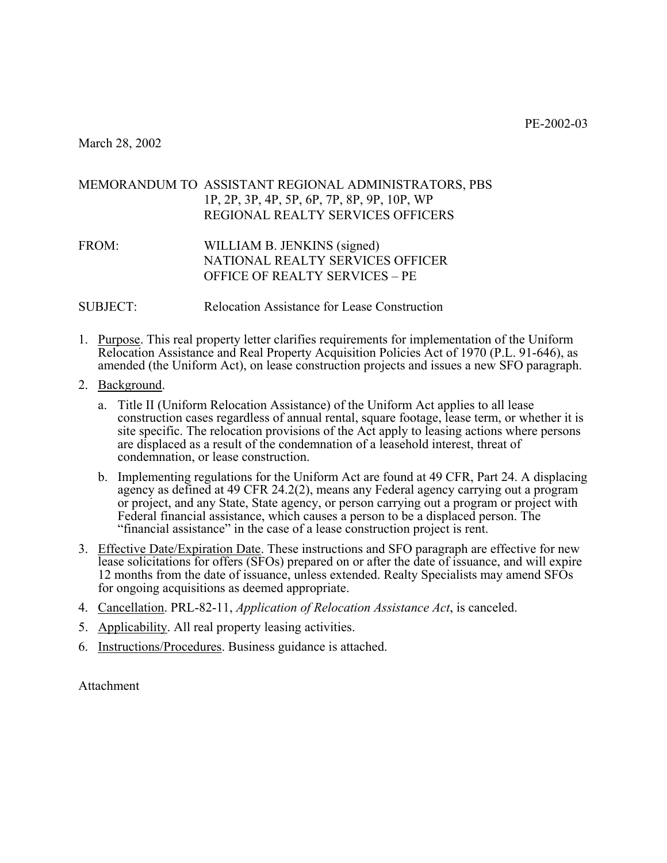PE-2002-03

March 28, 2002

## MEMORANDUM TO ASSISTANT REGIONAL ADMINISTRATORS, PBS 1P, 2P, 3P, 4P, 5P, 6P, 7P, 8P, 9P, 10P, WP REGIONAL REALTY SERVICES OFFICERS

- FROM: WILLIAM B. JENKINS (signed) NATIONAL REALTY SERVICES OFFICER OFFICE OF REALTY SERVICES – PE
- SUBJECT: Relocation Assistance for Lease Construction
- 1. Purpose. This real property letter clarifies requirements for implementation of the Uniform Relocation Assistance and Real Property Acquisition Policies Act of 1970 (P.L. 91-646), as amended (the Uniform Act), on lease construction projects and issues a new SFO paragraph.
- 2. Background.
	- a. Title II (Uniform Relocation Assistance) of the Uniform Act applies to all lease construction cases regardless of annual rental, square footage, lease term, or whether it is site specific. The relocation provisions of the Act apply to leasing actions where persons are displaced as a result of the condemnation of a leasehold interest, threat of condemnation, or lease construction.
	- b. Implementing regulations for the Uniform Act are found at 49 CFR, Part 24. A displacing agency as defined at 49 CFR 24.2(2), means any Federal agency carrying out a program or project, and any State, State agency, or person carrying out a program or project with Federal financial assistance, which causes a person to be a displaced person. The "financial assistance" in the case of a lease construction project is rent.
- 3. Effective Date/Expiration Date. These instructions and SFO paragraph are effective for new lease solicitations for offers (SFOs) prepared on or after the date of issuance, and will expire 12 months from the date of issuance, unless extended. Realty Specialists may amend SFOs for ongoing acquisitions as deemed appropriate.
- 4. Cancellation. PRL-82-11, *Application of Relocation Assistance Act*, is canceled.
- 5. Applicability. All real property leasing activities.
- 6. Instructions/Procedures. Business guidance is attached.

Attachment